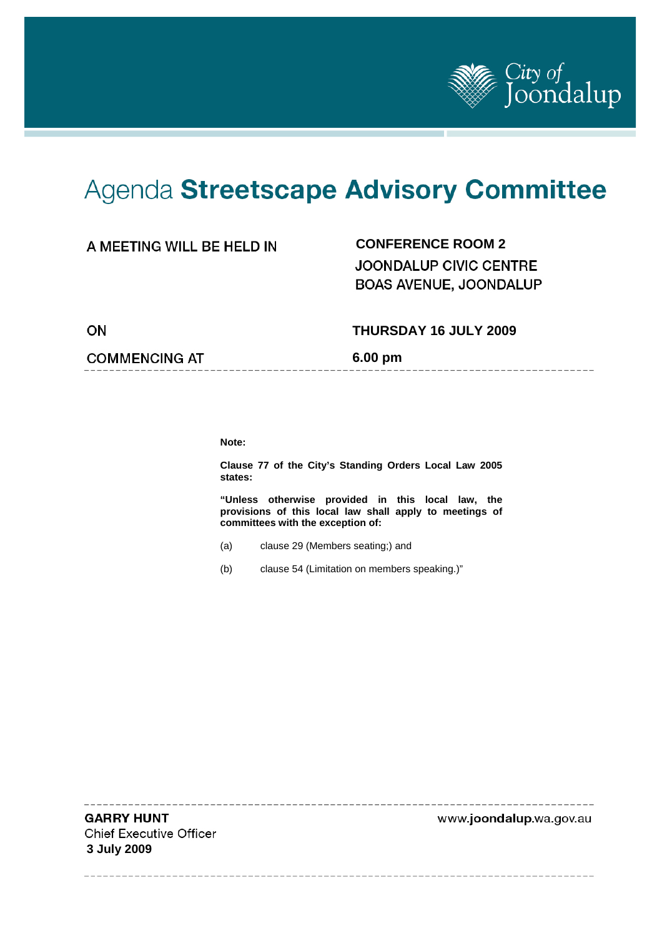

---------------------

# Agenda Streetscape Advisory Committee

## **CONFERENCE ROOM 2**

**JOONDALUP CIVIC CENTRE BOAS AVENUE, JOONDALUP** 

ON

#### **THURSDAY 16 JULY 2009**

**COMMENCING AT** 

**6.00 pm** 

**Note:** 

**Clause 77 of the City's Standing Orders Local Law 2005 states:** 

**"Unless otherwise provided in this local law, the provisions of this local law shall apply to meetings of committees with the exception of:** 

- (a) clause 29 (Members seating;) and
- (b) clause 54 (Limitation on members speaking.)"

**GARRY HUNT Chief Executive Officer 3 July 2009** 

www.joondalup.wa.gov.au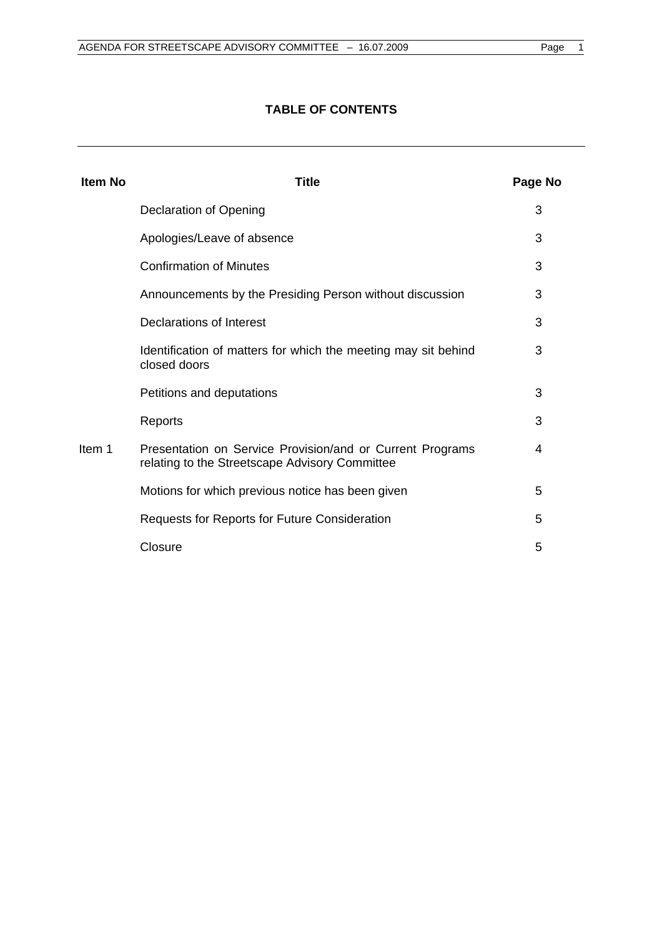## **TABLE OF CONTENTS**

| <b>Item No</b> | Title                                                                                                       | Page No |
|----------------|-------------------------------------------------------------------------------------------------------------|---------|
|                | Declaration of Opening                                                                                      | 3       |
|                | Apologies/Leave of absence                                                                                  | 3       |
|                | <b>Confirmation of Minutes</b>                                                                              | 3       |
|                | Announcements by the Presiding Person without discussion                                                    | 3       |
|                | Declarations of Interest                                                                                    | 3       |
|                | Identification of matters for which the meeting may sit behind<br>closed doors                              | 3       |
|                | Petitions and deputations                                                                                   | 3       |
|                | Reports                                                                                                     | 3       |
| Item 1         | Presentation on Service Provision/and or Current Programs<br>relating to the Streetscape Advisory Committee | 4       |
|                | Motions for which previous notice has been given                                                            | 5       |
|                | Requests for Reports for Future Consideration                                                               | 5       |
|                | Closure                                                                                                     | 5       |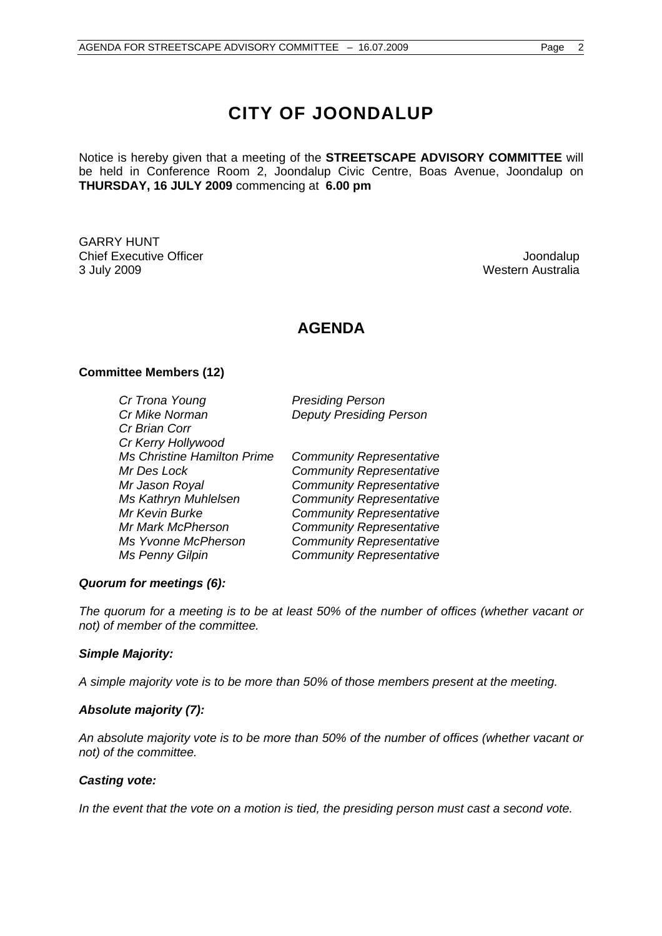## **CITY OF JOONDALUP**

Notice is hereby given that a meeting of the **STREETSCAPE ADVISORY COMMITTEE** will be held in Conference Room 2, Joondalup Civic Centre, Boas Avenue, Joondalup on **THURSDAY, 16 JULY 2009** commencing at **6.00 pm** 

GARRY HUNT Chief Executive Officer **Joondalup** 3 July 2009 Western Australia

## **AGENDA**

#### **Committee Members (12)**

| <b>Presiding Person</b>         |
|---------------------------------|
| <b>Deputy Presiding Person</b>  |
|                                 |
|                                 |
| <b>Community Representative</b> |
| <b>Community Representative</b> |
| <b>Community Representative</b> |
| <b>Community Representative</b> |
| <b>Community Representative</b> |
| <b>Community Representative</b> |
| <b>Community Representative</b> |
| <b>Community Representative</b> |
|                                 |

#### *Quorum for meetings (6):*

*The quorum for a meeting is to be at least 50% of the number of offices (whether vacant or not) of member of the committee.* 

#### *Simple Majority:*

*A simple majority vote is to be more than 50% of those members present at the meeting.* 

#### *Absolute majority (7):*

*An absolute majority vote is to be more than 50% of the number of offices (whether vacant or not) of the committee.* 

#### *Casting vote:*

*In the event that the vote on a motion is tied, the presiding person must cast a second vote.*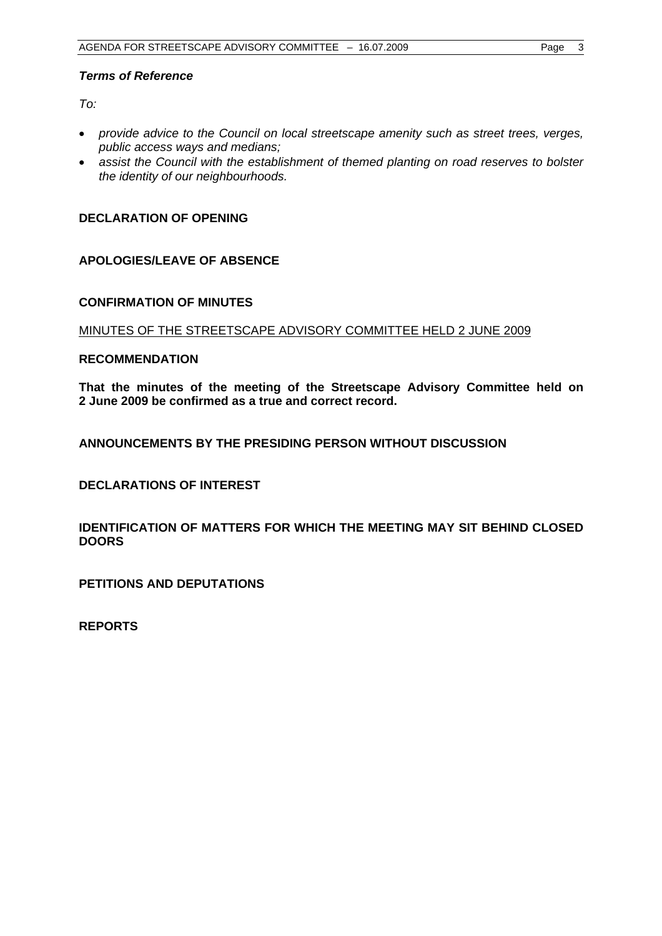#### *Terms of Reference*

 $To^{\ldots}$ 

- *provide advice to the Council on local streetscape amenity such as street trees, verges, public access ways and medians;*
- *assist the Council with the establishment of themed planting on road reserves to bolster the identity of our neighbourhoods.*

#### **DECLARATION OF OPENING**

#### **APOLOGIES/LEAVE OF ABSENCE**

#### **CONFIRMATION OF MINUTES**

#### MINUTES OF THE STREETSCAPE ADVISORY COMMITTEE HELD 2 JUNE 2009

#### **RECOMMENDATION**

**That the minutes of the meeting of the Streetscape Advisory Committee held on 2 June 2009 be confirmed as a true and correct record.** 

#### **ANNOUNCEMENTS BY THE PRESIDING PERSON WITHOUT DISCUSSION**

**DECLARATIONS OF INTEREST** 

**IDENTIFICATION OF MATTERS FOR WHICH THE MEETING MAY SIT BEHIND CLOSED DOORS** 

**PETITIONS AND DEPUTATIONS** 

**REPORTS**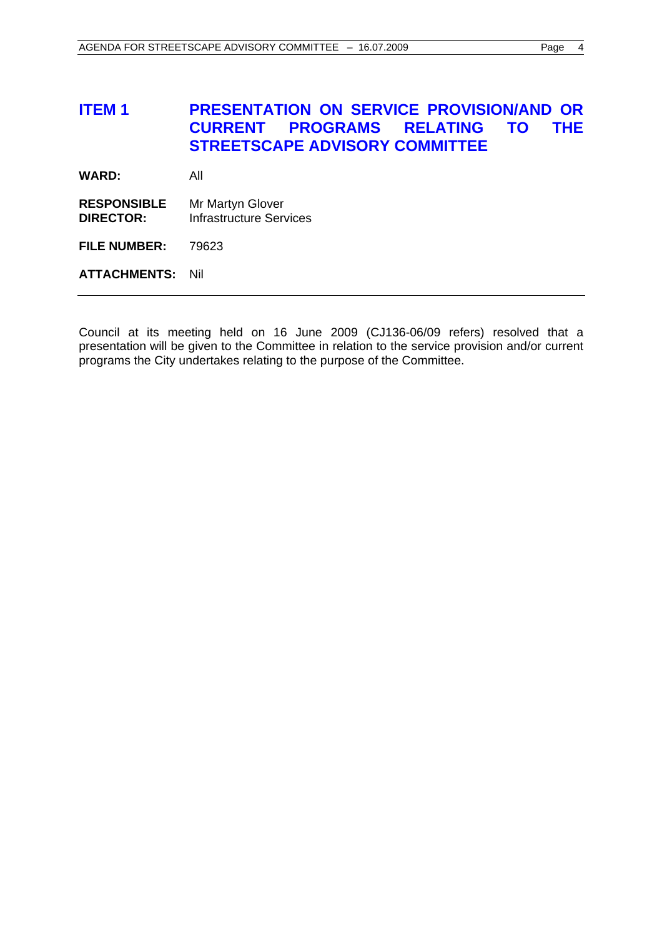## **ITEM 1 PRESENTATION ON SERVICE PROVISION/AND OR CURRENT PROGRAMS RELATING TO THE STREETSCAPE ADVISORY COMMITTEE**

**WARD:** All

**RESPONSIBLE** Mr Martyn Glover **DIRECTOR:** Infrastructure Services

**FILE NUMBER:** 79623

**ATTACHMENTS:** Nil

Council at its meeting held on 16 June 2009 (CJ136-06/09 refers) resolved that a presentation will be given to the Committee in relation to the service provision and/or current programs the City undertakes relating to the purpose of the Committee.